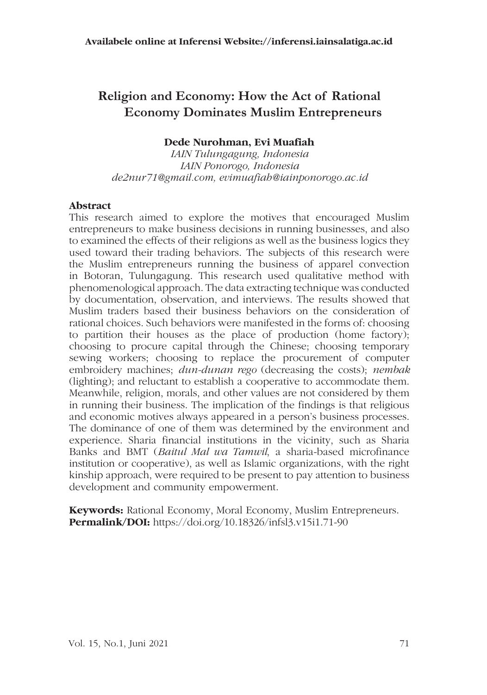# **Religion and Economy: How the Act of Rational Economy Dominates Muslim Entrepreneurs**

### **Dede Nurohman, Evi Muafiah**

*IAIN Tulungagung, Indonesia IAIN Ponorogo, Indonesia de2nur71@gmail.com, evimuafiah@iainponorogo.ac.id*

#### **Abstract**

This research aimed to explore the motives that encouraged Muslim entrepreneurs to make business decisions in running businesses, and also to examined the effects of their religions as well as the business logics they used toward their trading behaviors. The subjects of this research were the Muslim entrepreneurs running the business of apparel convection in Botoran, Tulungagung. This research used qualitative method with phenomenological approach. The data extracting technique was conducted by documentation, observation, and interviews. The results showed that Muslim traders based their business behaviors on the consideration of rational choices. Such behaviors were manifested in the forms of: choosing to partition their houses as the place of production (home factory); choosing to procure capital through the Chinese; choosing temporary sewing workers; choosing to replace the procurement of computer embroidery machines; *dun-dunan rego* (decreasing the costs); *nembak* (lighting); and reluctant to establish a cooperative to accommodate them. Meanwhile, religion, morals, and other values are not considered by them in running their business. The implication of the findings is that religious and economic motives always appeared in a person's business processes. The dominance of one of them was determined by the environment and experience. Sharia financial institutions in the vicinity, such as Sharia Banks and BMT (*Baitul Mal wa Tamwil*, a sharia-based microfinance institution or cooperative), as well as Islamic organizations, with the right kinship approach, were required to be present to pay attention to business development and community empowerment.

**Keywords:** Rational Economy, Moral Economy, Muslim Entrepreneurs. **Permalink/DOI:** https://doi.org/10.18326/infsl3.v15i1.71-90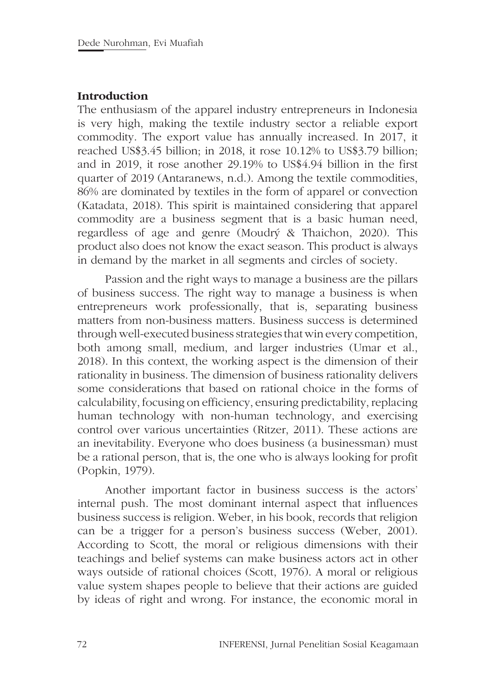### **Introduction**

The enthusiasm of the apparel industry entrepreneurs in Indonesia is very high, making the textile industry sector a reliable export commodity. The export value has annually increased. In 2017, it reached US\$3.45 billion; in 2018, it rose 10.12% to US\$3.79 billion; and in 2019, it rose another 29.19% to US\$4.94 billion in the first quarter of 2019 (Antaranews, n.d.). Among the textile commodities, 86% are dominated by textiles in the form of apparel or convection (Katadata, 2018). This spirit is maintained considering that apparel commodity are a business segment that is a basic human need, regardless of age and genre (Moudrý & Thaichon, 2020). This product also does not know the exact season. This product is always in demand by the market in all segments and circles of society.

Passion and the right ways to manage a business are the pillars of business success. The right way to manage a business is when entrepreneurs work professionally, that is, separating business matters from non-business matters. Business success is determined through well-executed business strategies that win every competition, both among small, medium, and larger industries (Umar et al., 2018). In this context, the working aspect is the dimension of their rationality in business. The dimension of business rationality delivers some considerations that based on rational choice in the forms of calculability, focusing on efficiency, ensuring predictability, replacing human technology with non-human technology, and exercising control over various uncertainties (Ritzer, 2011). These actions are an inevitability. Everyone who does business (a businessman) must be a rational person, that is, the one who is always looking for profit (Popkin, 1979).

Another important factor in business success is the actors' internal push. The most dominant internal aspect that influences business success is religion. Weber, in his book, records that religion can be a trigger for a person's business success (Weber, 2001). According to Scott, the moral or religious dimensions with their teachings and belief systems can make business actors act in other ways outside of rational choices (Scott, 1976). A moral or religious value system shapes people to believe that their actions are guided by ideas of right and wrong. For instance, the economic moral in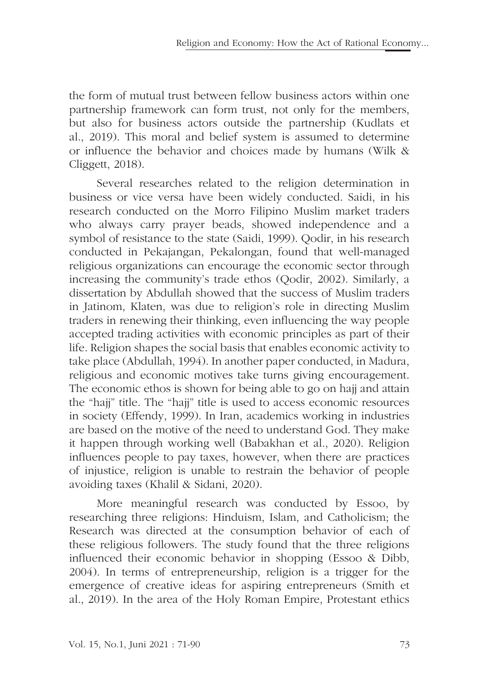the form of mutual trust between fellow business actors within one partnership framework can form trust, not only for the members, but also for business actors outside the partnership (Kudlats et al., 2019). This moral and belief system is assumed to determine or influence the behavior and choices made by humans (Wilk & Cliggett, 2018).

Several researches related to the religion determination in business or vice versa have been widely conducted. Saidi, in his research conducted on the Morro Filipino Muslim market traders who always carry prayer beads, showed independence and a symbol of resistance to the state (Saidi, 1999). Qodir, in his research conducted in Pekajangan, Pekalongan, found that well-managed religious organizations can encourage the economic sector through increasing the community's trade ethos (Qodir, 2002). Similarly, a dissertation by Abdullah showed that the success of Muslim traders in Jatinom, Klaten, was due to religion's role in directing Muslim traders in renewing their thinking, even influencing the way people accepted trading activities with economic principles as part of their life. Religion shapes the social basis that enables economic activity to take place (Abdullah, 1994). In another paper conducted, in Madura, religious and economic motives take turns giving encouragement. The economic ethos is shown for being able to go on hajj and attain the "hajj" title. The "hajj" title is used to access economic resources in society (Effendy, 1999). In Iran, academics working in industries are based on the motive of the need to understand God. They make it happen through working well (Babakhan et al., 2020). Religion influences people to pay taxes, however, when there are practices of injustice, religion is unable to restrain the behavior of people avoiding taxes (Khalil & Sidani, 2020).

More meaningful research was conducted by Essoo, by researching three religions: Hinduism, Islam, and Catholicism; the Research was directed at the consumption behavior of each of these religious followers. The study found that the three religions influenced their economic behavior in shopping (Essoo & Dibb, 2004). In terms of entrepreneurship, religion is a trigger for the emergence of creative ideas for aspiring entrepreneurs (Smith et al., 2019). In the area of the Holy Roman Empire, Protestant ethics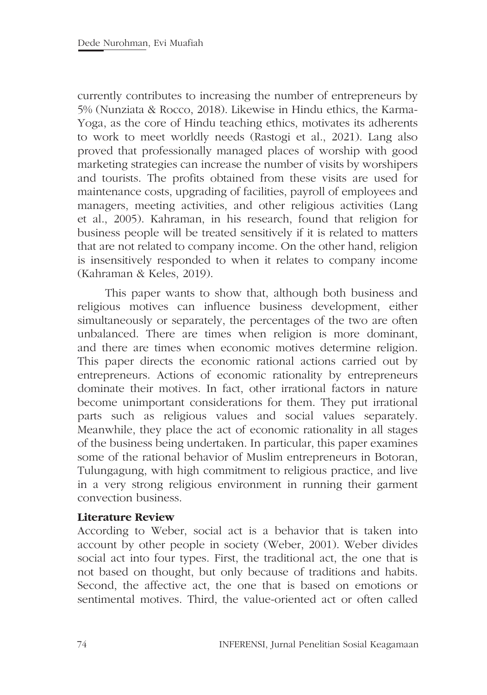currently contributes to increasing the number of entrepreneurs by 5% (Nunziata & Rocco, 2018). Likewise in Hindu ethics, the Karma-Yoga, as the core of Hindu teaching ethics, motivates its adherents to work to meet worldly needs (Rastogi et al., 2021). Lang also proved that professionally managed places of worship with good marketing strategies can increase the number of visits by worshipers and tourists. The profits obtained from these visits are used for maintenance costs, upgrading of facilities, payroll of employees and managers, meeting activities, and other religious activities (Lang et al., 2005). Kahraman, in his research, found that religion for business people will be treated sensitively if it is related to matters that are not related to company income. On the other hand, religion is insensitively responded to when it relates to company income (Kahraman & Keles, 2019).

This paper wants to show that, although both business and religious motives can influence business development, either simultaneously or separately, the percentages of the two are often unbalanced. There are times when religion is more dominant, and there are times when economic motives determine religion. This paper directs the economic rational actions carried out by entrepreneurs. Actions of economic rationality by entrepreneurs dominate their motives. In fact, other irrational factors in nature become unimportant considerations for them. They put irrational parts such as religious values and social values separately. Meanwhile, they place the act of economic rationality in all stages of the business being undertaken. In particular, this paper examines some of the rational behavior of Muslim entrepreneurs in Botoran, Tulungagung, with high commitment to religious practice, and live in a very strong religious environment in running their garment convection business.

### **Literature Review**

According to Weber, social act is a behavior that is taken into account by other people in society (Weber, 2001). Weber divides social act into four types. First, the traditional act, the one that is not based on thought, but only because of traditions and habits. Second, the affective act, the one that is based on emotions or sentimental motives. Third, the value-oriented act or often called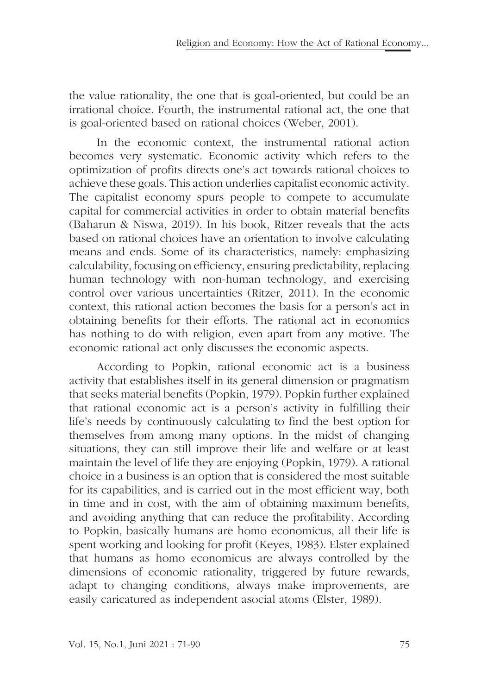the value rationality, the one that is goal-oriented, but could be an irrational choice. Fourth, the instrumental rational act, the one that is goal-oriented based on rational choices (Weber, 2001).

In the economic context, the instrumental rational action becomes very systematic. Economic activity which refers to the optimization of profits directs one's act towards rational choices to achieve these goals. This action underlies capitalist economic activity. The capitalist economy spurs people to compete to accumulate capital for commercial activities in order to obtain material benefits (Baharun & Niswa, 2019). In his book, Ritzer reveals that the acts based on rational choices have an orientation to involve calculating means and ends. Some of its characteristics, namely: emphasizing calculability, focusing on efficiency, ensuring predictability, replacing human technology with non-human technology, and exercising control over various uncertainties (Ritzer, 2011). In the economic context, this rational action becomes the basis for a person's act in obtaining benefits for their efforts. The rational act in economics has nothing to do with religion, even apart from any motive. The economic rational act only discusses the economic aspects.

According to Popkin, rational economic act is a business activity that establishes itself in its general dimension or pragmatism that seeks material benefits (Popkin, 1979). Popkin further explained that rational economic act is a person's activity in fulfilling their life's needs by continuously calculating to find the best option for themselves from among many options. In the midst of changing situations, they can still improve their life and welfare or at least maintain the level of life they are enjoying (Popkin, 1979). A rational choice in a business is an option that is considered the most suitable for its capabilities, and is carried out in the most efficient way, both in time and in cost, with the aim of obtaining maximum benefits, and avoiding anything that can reduce the profitability. According to Popkin, basically humans are homo economicus, all their life is spent working and looking for profit (Keyes, 1983). Elster explained that humans as homo economicus are always controlled by the dimensions of economic rationality, triggered by future rewards, adapt to changing conditions, always make improvements, are easily caricatured as independent asocial atoms (Elster, 1989).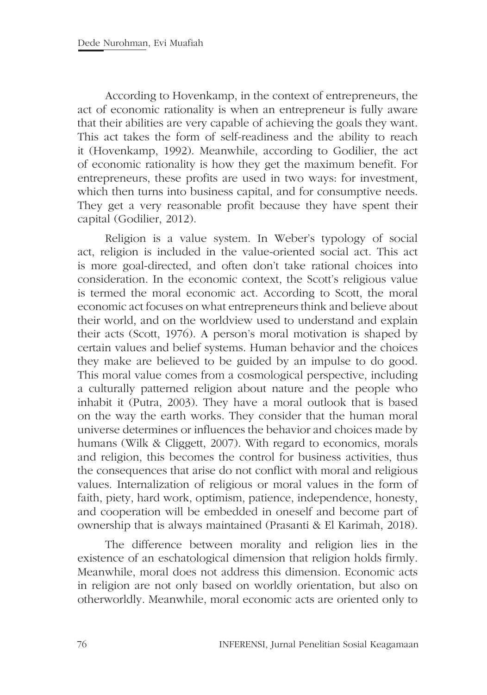According to Hovenkamp, in the context of entrepreneurs, the act of economic rationality is when an entrepreneur is fully aware that their abilities are very capable of achieving the goals they want. This act takes the form of self-readiness and the ability to reach it (Hovenkamp, 1992). Meanwhile, according to Godilier, the act of economic rationality is how they get the maximum benefit. For entrepreneurs, these profits are used in two ways: for investment, which then turns into business capital, and for consumptive needs. They get a very reasonable profit because they have spent their capital (Godilier, 2012).

Religion is a value system. In Weber's typology of social act, religion is included in the value-oriented social act. This act is more goal-directed, and often don't take rational choices into consideration. In the economic context, the Scott's religious value is termed the moral economic act. According to Scott, the moral economic act focuses on what entrepreneurs think and believe about their world, and on the worldview used to understand and explain their acts (Scott, 1976). A person's moral motivation is shaped by certain values and belief systems. Human behavior and the choices they make are believed to be guided by an impulse to do good. This moral value comes from a cosmological perspective, including a culturally patterned religion about nature and the people who inhabit it (Putra, 2003). They have a moral outlook that is based on the way the earth works. They consider that the human moral universe determines or influences the behavior and choices made by humans (Wilk & Cliggett, 2007). With regard to economics, morals and religion, this becomes the control for business activities, thus the consequences that arise do not conflict with moral and religious values. Internalization of religious or moral values in the form of faith, piety, hard work, optimism, patience, independence, honesty, and cooperation will be embedded in oneself and become part of ownership that is always maintained (Prasanti & El Karimah, 2018).

The difference between morality and religion lies in the existence of an eschatological dimension that religion holds firmly. Meanwhile, moral does not address this dimension. Economic acts in religion are not only based on worldly orientation, but also on otherworldly. Meanwhile, moral economic acts are oriented only to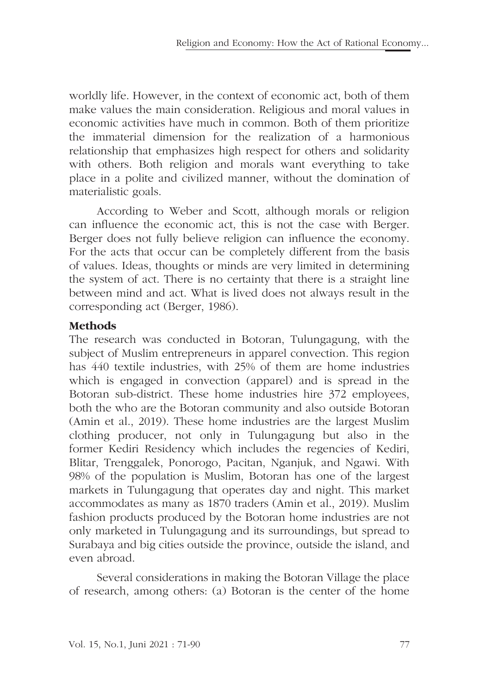worldly life. However, in the context of economic act, both of them make values the main consideration. Religious and moral values in economic activities have much in common. Both of them prioritize the immaterial dimension for the realization of a harmonious relationship that emphasizes high respect for others and solidarity with others. Both religion and morals want everything to take place in a polite and civilized manner, without the domination of materialistic goals.

According to Weber and Scott, although morals or religion can influence the economic act, this is not the case with Berger. Berger does not fully believe religion can influence the economy. For the acts that occur can be completely different from the basis of values. Ideas, thoughts or minds are very limited in determining the system of act. There is no certainty that there is a straight line between mind and act. What is lived does not always result in the corresponding act (Berger, 1986).

# **Methods**

The research was conducted in Botoran, Tulungagung, with the subject of Muslim entrepreneurs in apparel convection. This region has 440 textile industries, with 25% of them are home industries which is engaged in convection (apparel) and is spread in the Botoran sub-district. These home industries hire 372 employees, both the who are the Botoran community and also outside Botoran (Amin et al., 2019). These home industries are the largest Muslim clothing producer, not only in Tulungagung but also in the former Kediri Residency which includes the regencies of Kediri, Blitar, Trenggalek, Ponorogo, Pacitan, Nganjuk, and Ngawi. With 98% of the population is Muslim, Botoran has one of the largest markets in Tulungagung that operates day and night. This market accommodates as many as 1870 traders (Amin et al., 2019). Muslim fashion products produced by the Botoran home industries are not only marketed in Tulungagung and its surroundings, but spread to Surabaya and big cities outside the province, outside the island, and even abroad.

Several considerations in making the Botoran Village the place of research, among others: (a) Botoran is the center of the home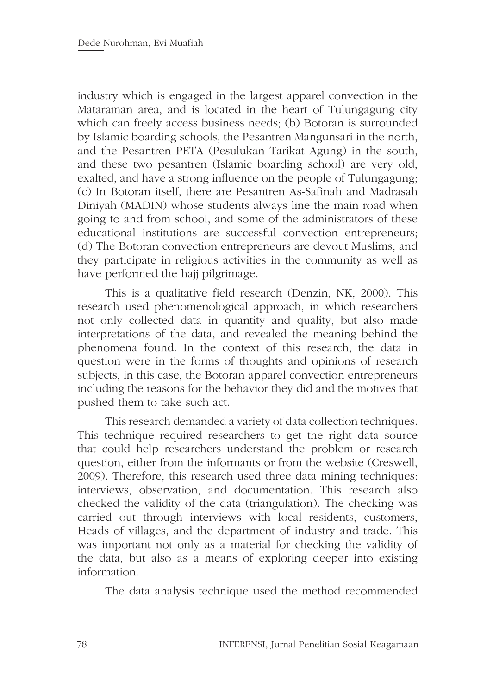industry which is engaged in the largest apparel convection in the Mataraman area, and is located in the heart of Tulungagung city which can freely access business needs; (b) Botoran is surrounded by Islamic boarding schools, the Pesantren Mangunsari in the north, and the Pesantren PETA (Pesulukan Tarikat Agung) in the south, and these two pesantren (Islamic boarding school) are very old, exalted, and have a strong influence on the people of Tulungagung; (c) In Botoran itself, there are Pesantren As-Safinah and Madrasah Diniyah (MADIN) whose students always line the main road when going to and from school, and some of the administrators of these educational institutions are successful convection entrepreneurs; (d) The Botoran convection entrepreneurs are devout Muslims, and they participate in religious activities in the community as well as have performed the hajj pilgrimage.

This is a qualitative field research (Denzin, NK, 2000). This research used phenomenological approach, in which researchers not only collected data in quantity and quality, but also made interpretations of the data, and revealed the meaning behind the phenomena found. In the context of this research, the data in question were in the forms of thoughts and opinions of research subjects, in this case, the Botoran apparel convection entrepreneurs including the reasons for the behavior they did and the motives that pushed them to take such act.

This research demanded a variety of data collection techniques. This technique required researchers to get the right data source that could help researchers understand the problem or research question, either from the informants or from the website (Creswell, 2009). Therefore, this research used three data mining techniques: interviews, observation, and documentation. This research also checked the validity of the data (triangulation). The checking was carried out through interviews with local residents, customers, Heads of villages, and the department of industry and trade. This was important not only as a material for checking the validity of the data, but also as a means of exploring deeper into existing information.

The data analysis technique used the method recommended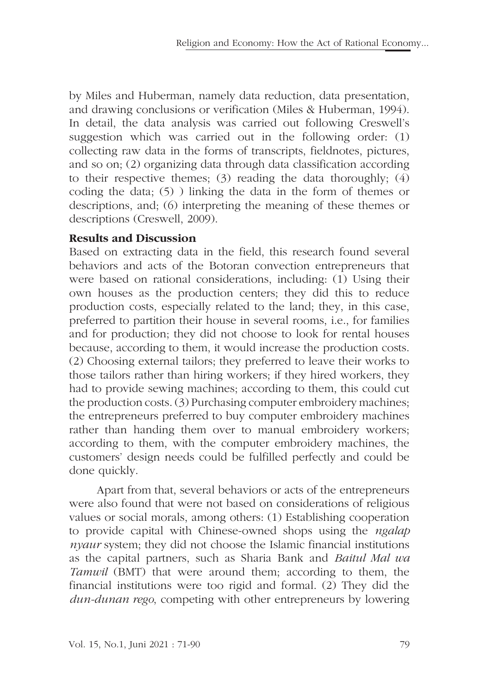by Miles and Huberman, namely data reduction, data presentation, and drawing conclusions or verification (Miles & Huberman, 1994). In detail, the data analysis was carried out following Creswell's suggestion which was carried out in the following order: (1) collecting raw data in the forms of transcripts, fieldnotes, pictures, and so on; (2) organizing data through data classification according to their respective themes; (3) reading the data thoroughly; (4) coding the data; (5) ) linking the data in the form of themes or descriptions, and; (6) interpreting the meaning of these themes or descriptions (Creswell, 2009).

# **Results and Discussion**

Based on extracting data in the field, this research found several behaviors and acts of the Botoran convection entrepreneurs that were based on rational considerations, including: (1) Using their own houses as the production centers; they did this to reduce production costs, especially related to the land; they, in this case, preferred to partition their house in several rooms, i.e., for families and for production; they did not choose to look for rental houses because, according to them, it would increase the production costs. (2) Choosing external tailors; they preferred to leave their works to those tailors rather than hiring workers; if they hired workers, they had to provide sewing machines; according to them, this could cut the production costs. (3) Purchasing computer embroidery machines; the entrepreneurs preferred to buy computer embroidery machines rather than handing them over to manual embroidery workers; according to them, with the computer embroidery machines, the customers' design needs could be fulfilled perfectly and could be done quickly.

Apart from that, several behaviors or acts of the entrepreneurs were also found that were not based on considerations of religious values or social morals, among others: (1) Establishing cooperation to provide capital with Chinese-owned shops using the *ngalap nyaur* system; they did not choose the Islamic financial institutions as the capital partners, such as Sharia Bank and *Baitul Mal wa Tamwil* (BMT) that were around them; according to them, the financial institutions were too rigid and formal. (2) They did the *dun-dunan rego*, competing with other entrepreneurs by lowering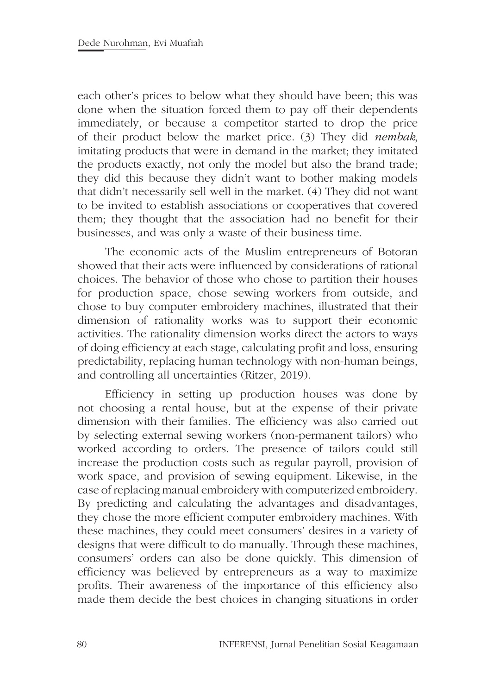each other's prices to below what they should have been; this was done when the situation forced them to pay off their dependents immediately, or because a competitor started to drop the price of their product below the market price. (3) They did *nembak*, imitating products that were in demand in the market; they imitated the products exactly, not only the model but also the brand trade; they did this because they didn't want to bother making models that didn't necessarily sell well in the market. (4) They did not want to be invited to establish associations or cooperatives that covered them; they thought that the association had no benefit for their businesses, and was only a waste of their business time.

The economic acts of the Muslim entrepreneurs of Botoran showed that their acts were influenced by considerations of rational choices. The behavior of those who chose to partition their houses for production space, chose sewing workers from outside, and chose to buy computer embroidery machines, illustrated that their dimension of rationality works was to support their economic activities. The rationality dimension works direct the actors to ways of doing efficiency at each stage, calculating profit and loss, ensuring predictability, replacing human technology with non-human beings, and controlling all uncertainties (Ritzer, 2019).

Efficiency in setting up production houses was done by not choosing a rental house, but at the expense of their private dimension with their families. The efficiency was also carried out by selecting external sewing workers (non-permanent tailors) who worked according to orders. The presence of tailors could still increase the production costs such as regular payroll, provision of work space, and provision of sewing equipment. Likewise, in the case of replacing manual embroidery with computerized embroidery. By predicting and calculating the advantages and disadvantages, they chose the more efficient computer embroidery machines. With these machines, they could meet consumers' desires in a variety of designs that were difficult to do manually. Through these machines, consumers' orders can also be done quickly. This dimension of efficiency was believed by entrepreneurs as a way to maximize profits. Their awareness of the importance of this efficiency also made them decide the best choices in changing situations in order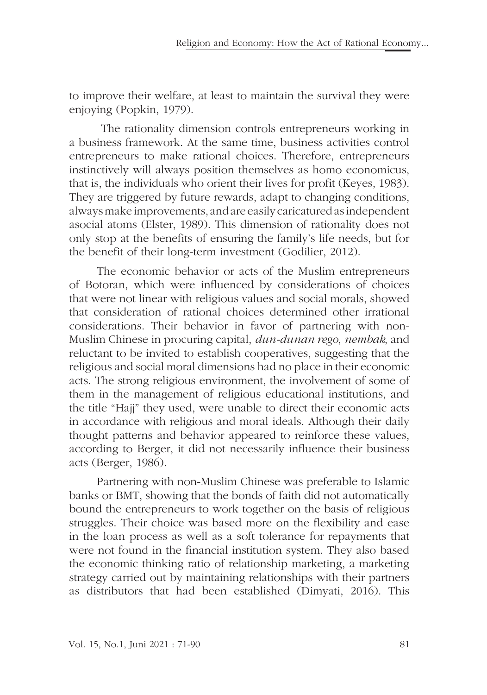to improve their welfare, at least to maintain the survival they were enjoying (Popkin, 1979).

 The rationality dimension controls entrepreneurs working in a business framework. At the same time, business activities control entrepreneurs to make rational choices. Therefore, entrepreneurs instinctively will always position themselves as homo economicus, that is, the individuals who orient their lives for profit (Keyes, 1983). They are triggered by future rewards, adapt to changing conditions, always make improvements, and are easily caricatured as independent asocial atoms (Elster, 1989). This dimension of rationality does not only stop at the benefits of ensuring the family's life needs, but for the benefit of their long-term investment (Godilier, 2012).

The economic behavior or acts of the Muslim entrepreneurs of Botoran, which were influenced by considerations of choices that were not linear with religious values and social morals, showed that consideration of rational choices determined other irrational considerations. Their behavior in favor of partnering with non-Muslim Chinese in procuring capital, *dun-dunan rego*, *nembak*, and reluctant to be invited to establish cooperatives, suggesting that the religious and social moral dimensions had no place in their economic acts. The strong religious environment, the involvement of some of them in the management of religious educational institutions, and the title "Hajj" they used, were unable to direct their economic acts in accordance with religious and moral ideals. Although their daily thought patterns and behavior appeared to reinforce these values, according to Berger, it did not necessarily influence their business acts (Berger, 1986).

Partnering with non-Muslim Chinese was preferable to Islamic banks or BMT, showing that the bonds of faith did not automatically bound the entrepreneurs to work together on the basis of religious struggles. Their choice was based more on the flexibility and ease in the loan process as well as a soft tolerance for repayments that were not found in the financial institution system. They also based the economic thinking ratio of relationship marketing, a marketing strategy carried out by maintaining relationships with their partners as distributors that had been established (Dimyati, 2016). This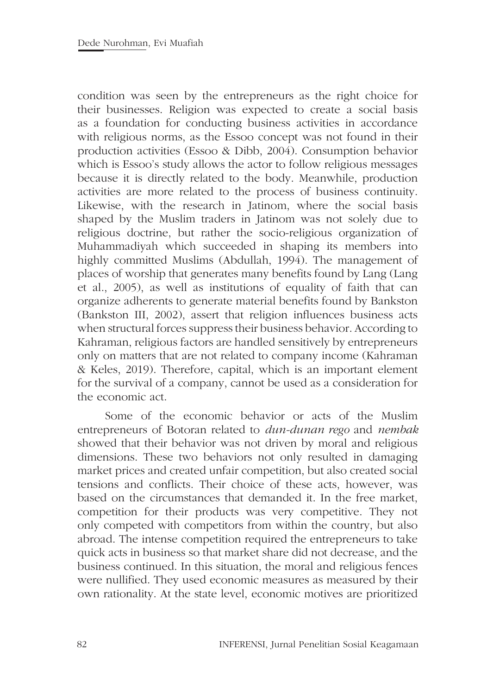condition was seen by the entrepreneurs as the right choice for their businesses. Religion was expected to create a social basis as a foundation for conducting business activities in accordance with religious norms, as the Essoo concept was not found in their production activities (Essoo & Dibb, 2004). Consumption behavior which is Essoo's study allows the actor to follow religious messages because it is directly related to the body. Meanwhile, production activities are more related to the process of business continuity. Likewise, with the research in Jatinom, where the social basis shaped by the Muslim traders in Jatinom was not solely due to religious doctrine, but rather the socio-religious organization of Muhammadiyah which succeeded in shaping its members into highly committed Muslims (Abdullah, 1994). The management of places of worship that generates many benefits found by Lang (Lang et al., 2005), as well as institutions of equality of faith that can organize adherents to generate material benefits found by Bankston (Bankston III, 2002), assert that religion influences business acts when structural forces suppress their business behavior. According to Kahraman, religious factors are handled sensitively by entrepreneurs only on matters that are not related to company income (Kahraman & Keles, 2019). Therefore, capital, which is an important element for the survival of a company, cannot be used as a consideration for the economic act.

Some of the economic behavior or acts of the Muslim entrepreneurs of Botoran related to *dun-dunan rego* and *nembak* showed that their behavior was not driven by moral and religious dimensions. These two behaviors not only resulted in damaging market prices and created unfair competition, but also created social tensions and conflicts. Their choice of these acts, however, was based on the circumstances that demanded it. In the free market, competition for their products was very competitive. They not only competed with competitors from within the country, but also abroad. The intense competition required the entrepreneurs to take quick acts in business so that market share did not decrease, and the business continued. In this situation, the moral and religious fences were nullified. They used economic measures as measured by their own rationality. At the state level, economic motives are prioritized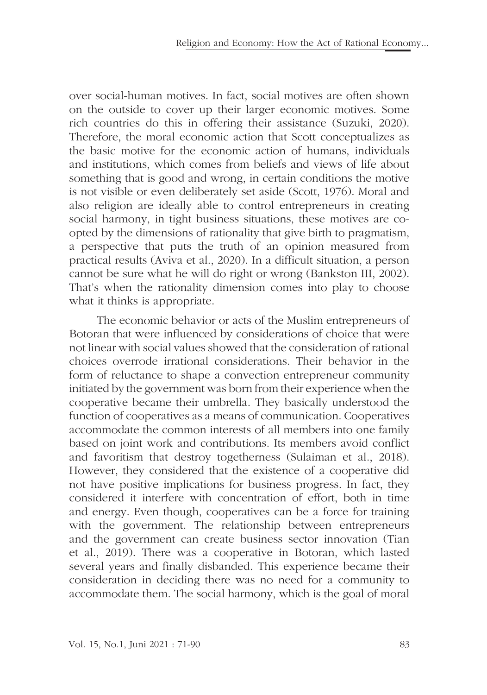over social-human motives. In fact, social motives are often shown on the outside to cover up their larger economic motives. Some rich countries do this in offering their assistance (Suzuki, 2020). Therefore, the moral economic action that Scott conceptualizes as the basic motive for the economic action of humans, individuals and institutions, which comes from beliefs and views of life about something that is good and wrong, in certain conditions the motive is not visible or even deliberately set aside (Scott, 1976). Moral and also religion are ideally able to control entrepreneurs in creating social harmony, in tight business situations, these motives are coopted by the dimensions of rationality that give birth to pragmatism, a perspective that puts the truth of an opinion measured from practical results (Aviva et al., 2020). In a difficult situation, a person cannot be sure what he will do right or wrong (Bankston III, 2002). That's when the rationality dimension comes into play to choose what it thinks is appropriate.

The economic behavior or acts of the Muslim entrepreneurs of Botoran that were influenced by considerations of choice that were not linear with social values showed that the consideration of rational choices overrode irrational considerations. Their behavior in the form of reluctance to shape a convection entrepreneur community initiated by the government was born from their experience when the cooperative became their umbrella. They basically understood the function of cooperatives as a means of communication. Cooperatives accommodate the common interests of all members into one family based on joint work and contributions. Its members avoid conflict and favoritism that destroy togetherness (Sulaiman et al., 2018). However, they considered that the existence of a cooperative did not have positive implications for business progress. In fact, they considered it interfere with concentration of effort, both in time and energy. Even though, cooperatives can be a force for training with the government. The relationship between entrepreneurs and the government can create business sector innovation (Tian et al., 2019). There was a cooperative in Botoran, which lasted several years and finally disbanded. This experience became their consideration in deciding there was no need for a community to accommodate them. The social harmony, which is the goal of moral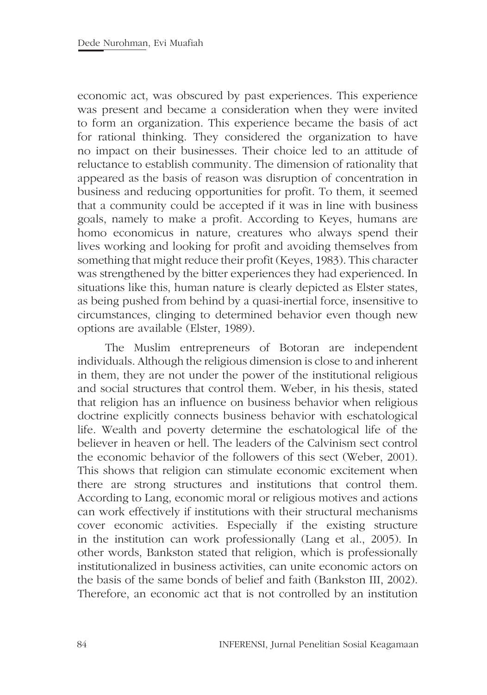economic act, was obscured by past experiences. This experience was present and became a consideration when they were invited to form an organization. This experience became the basis of act for rational thinking. They considered the organization to have no impact on their businesses. Their choice led to an attitude of reluctance to establish community. The dimension of rationality that appeared as the basis of reason was disruption of concentration in business and reducing opportunities for profit. To them, it seemed that a community could be accepted if it was in line with business goals, namely to make a profit. According to Keyes, humans are homo economicus in nature, creatures who always spend their lives working and looking for profit and avoiding themselves from something that might reduce their profit (Keyes, 1983). This character was strengthened by the bitter experiences they had experienced. In situations like this, human nature is clearly depicted as Elster states, as being pushed from behind by a quasi-inertial force, insensitive to circumstances, clinging to determined behavior even though new options are available (Elster, 1989).

The Muslim entrepreneurs of Botoran are independent individuals. Although the religious dimension is close to and inherent in them, they are not under the power of the institutional religious and social structures that control them. Weber, in his thesis, stated that religion has an influence on business behavior when religious doctrine explicitly connects business behavior with eschatological life. Wealth and poverty determine the eschatological life of the believer in heaven or hell. The leaders of the Calvinism sect control the economic behavior of the followers of this sect (Weber, 2001). This shows that religion can stimulate economic excitement when there are strong structures and institutions that control them. According to Lang, economic moral or religious motives and actions can work effectively if institutions with their structural mechanisms cover economic activities. Especially if the existing structure in the institution can work professionally (Lang et al., 2005). In other words, Bankston stated that religion, which is professionally institutionalized in business activities, can unite economic actors on the basis of the same bonds of belief and faith (Bankston III, 2002). Therefore, an economic act that is not controlled by an institution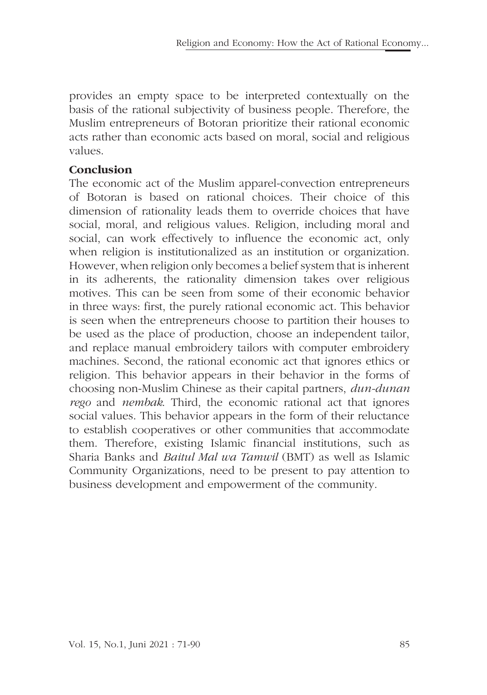provides an empty space to be interpreted contextually on the basis of the rational subjectivity of business people. Therefore, the Muslim entrepreneurs of Botoran prioritize their rational economic acts rather than economic acts based on moral, social and religious values.

## **Conclusion**

The economic act of the Muslim apparel-convection entrepreneurs of Botoran is based on rational choices. Their choice of this dimension of rationality leads them to override choices that have social, moral, and religious values. Religion, including moral and social, can work effectively to influence the economic act, only when religion is institutionalized as an institution or organization. However, when religion only becomes a belief system that is inherent in its adherents, the rationality dimension takes over religious motives. This can be seen from some of their economic behavior in three ways: first, the purely rational economic act. This behavior is seen when the entrepreneurs choose to partition their houses to be used as the place of production, choose an independent tailor, and replace manual embroidery tailors with computer embroidery machines. Second, the rational economic act that ignores ethics or religion. This behavior appears in their behavior in the forms of choosing non-Muslim Chinese as their capital partners, *dun-dunan rego* and *nembak*. Third, the economic rational act that ignores social values. This behavior appears in the form of their reluctance to establish cooperatives or other communities that accommodate them. Therefore, existing Islamic financial institutions, such as Sharia Banks and *Baitul Mal wa Tamwil* (BMT) as well as Islamic Community Organizations, need to be present to pay attention to business development and empowerment of the community.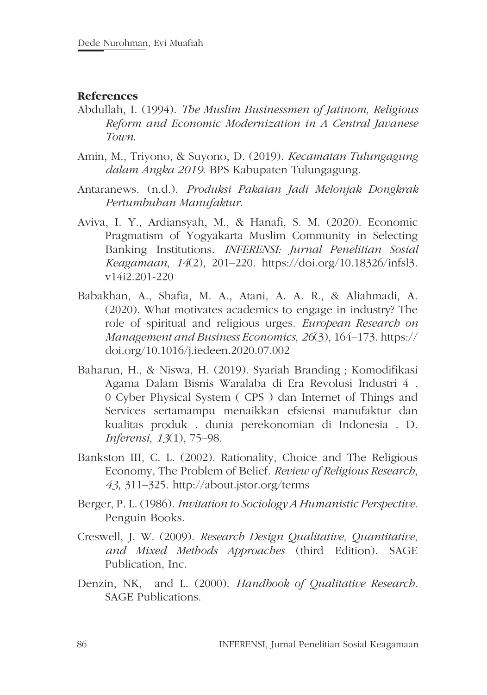#### **References**

- Abdullah, I. (1994). *The Muslim Businessmen of Jatinom, Religious Reform and Economic Modernization in A Central Javanese Town*.
- Amin, M., Triyono, & Suyono, D. (2019). *Kecamatan Tulungagung dalam Angka 2019*. BPS Kabupaten Tulungagung.
- Antaranews. (n.d.). *Produksi Pakaian Jadi Melonjak Dongkrak Pertumbuhan Manufaktur*.
- Aviva, I. Y., Ardiansyah, M., & Hanafi, S. M. (2020). Economic Pragmatism of Yogyakarta Muslim Community in Selecting Banking Institutions. *INFERENSI: Jurnal Penelitian Sosial Keagamaan*, *14*(2), 201–220. https://doi.org/10.18326/infsl3. v14i2.201-220
- Babakhan, A., Shafia, M. A., Atani, A. A. R., & Aliahmadi, A. (2020). What motivates academics to engage in industry? The role of spiritual and religious urges. *European Research on Management and Business Economics*, *26*(3), 164–173. https:// doi.org/10.1016/j.iedeen.2020.07.002
- Baharun, H., & Niswa, H. (2019). Syariah Branding ; Komodifikasi Agama Dalam Bisnis Waralaba di Era Revolusi Industri 4 . 0 Cyber Physical System ( CPS ) dan Internet of Things and Services sertamampu menaikkan efsiensi manufaktur dan kualitas produk . dunia perekonomian di Indonesia . D. *Inferensi*, *13*(1), 75–98.
- Bankston III, C. L. (2002). Rationality, Choice and The Religious Economy, The Problem of Belief. *Review of Religious Research*, *43*, 311–325. http://about.jstor.org/terms
- Berger, P. L. (1986). *Invitation to Sociology A Humanistic Perspective*. Penguin Books.
- Creswell, J. W. (2009). *Research Design Qualitative, Quantitative, and Mixed Methods Approaches* (third Edition). SAGE Publication, Inc.
- Denzin, NK, and L. (2000). *Handbook of Qualitative Research*. SAGE Publications.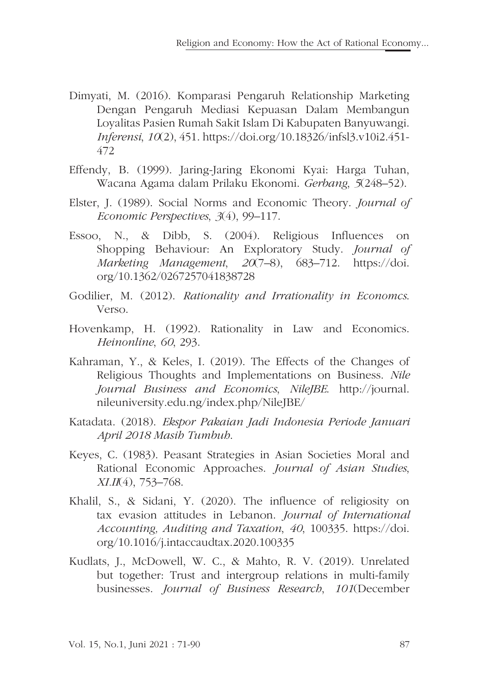- Dimyati, M. (2016). Komparasi Pengaruh Relationship Marketing Dengan Pengaruh Mediasi Kepuasan Dalam Membangun Loyalitas Pasien Rumah Sakit Islam Di Kabupaten Banyuwangi. *Inferensi*, *10*(2), 451. https://doi.org/10.18326/infsl3.v10i2.451- 472
- Effendy, B. (1999). Jaring-Jaring Ekonomi Kyai: Harga Tuhan, Wacana Agama dalam Prilaku Ekonomi. *Gerbang*, *5*(248–52).
- Elster, J. (1989). Social Norms and Economic Theory. *Journal of Economic Perspectives*, *3*(4), 99–117.
- Essoo, N., & Dibb, S. (2004). Religious Influences on Shopping Behaviour: An Exploratory Study. *Journal of Marketing Management*, *20*(7–8), 683–712. https://doi. org/10.1362/0267257041838728
- Godilier, M. (2012). *Rationality and Irrationality in Economcs*. Verso.
- Hovenkamp, H. (1992). Rationality in Law and Economics. *Heinonline*, *60*, 293.
- Kahraman, Y., & Keles, I. (2019). The Effects of the Changes of Religious Thoughts and Implementations on Business. *Nile Journal Business and Economics*, *NileJBE*. http://journal. nileuniversity.edu.ng/index.php/NileJBE/
- Katadata. (2018). *Ekspor Pakaian Jadi Indonesia Periode Januari April 2018 Masih Tumbuh*.
- Keyes, C. (1983). Peasant Strategies in Asian Societies Moral and Rational Economic Approaches. *Journal of Asian Studies*, *XI.II*(4), 753–768.
- Khalil, S., & Sidani, Y. (2020). The influence of religiosity on tax evasion attitudes in Lebanon. *Journal of International Accounting, Auditing and Taxation*, *40*, 100335. https://doi. org/10.1016/j.intaccaudtax.2020.100335
- Kudlats, J., McDowell, W. C., & Mahto, R. V. (2019). Unrelated but together: Trust and intergroup relations in multi-family businesses. *Journal of Business Research*, *101*(December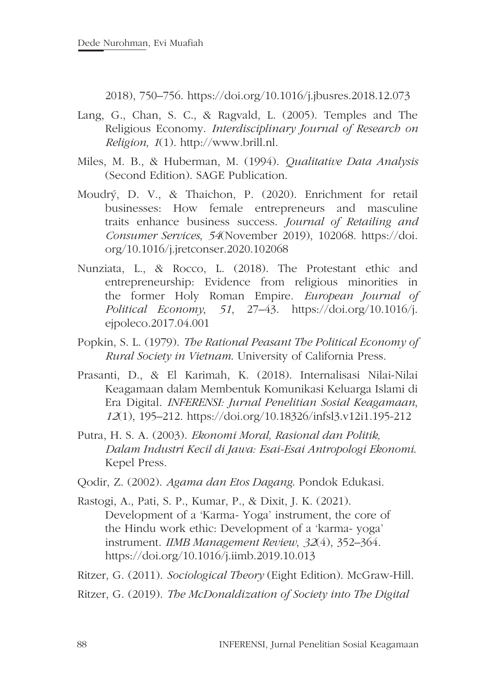2018), 750–756. https://doi.org/10.1016/j.jbusres.2018.12.073

- Lang, G., Chan, S. C., & Ragvald, L. (2005). Temples and The Religious Economy. *Interdisciplinary Journal of Research on Religion*, *1*(1). http://www.brill.nl.
- Miles, M. B., & Huberman, M. (1994). *Qualitative Data Analysis* (Second Edition). SAGE Publication.
- Moudrý, D. V., & Thaichon, P. (2020). Enrichment for retail businesses: How female entrepreneurs and masculine traits enhance business success. *Journal of Retailing and Consumer Services*, *54*(November 2019), 102068. https://doi. org/10.1016/j.jretconser.2020.102068
- Nunziata, L., & Rocco, L. (2018). The Protestant ethic and entrepreneurship: Evidence from religious minorities in the former Holy Roman Empire. *European Journal of Political Economy*, *51*, 27–43. https://doi.org/10.1016/j. ejpoleco.2017.04.001
- Popkin, S. L. (1979). *The Rational Peasant The Political Economy of Rural Society in Vietnam*. University of California Press.
- Prasanti, D., & El Karimah, K. (2018). Internalisasi Nilai-Nilai Keagamaan dalam Membentuk Komunikasi Keluarga Islami di Era Digital. *INFERENSI: Jurnal Penelitian Sosial Keagamaan*, *12*(1), 195–212. https://doi.org/10.18326/infsl3.v12i1.195-212
- Putra, H. S. A. (2003). *Ekonomi Moral, Rasional dan Politik, Dalam Industri Kecil di Jawa: Esai-Esai Antropologi Ekonomi*. Kepel Press.
- Qodir, Z. (2002). *Agama dan Etos Dagang*. Pondok Edukasi.
- Rastogi, A., Pati, S. P., Kumar, P., & Dixit, J. K. (2021). Development of a 'Karma- Yoga' instrument, the core of the Hindu work ethic: Development of a 'karma- yoga' instrument. *IIMB Management Review*, *32*(4), 352–364. https://doi.org/10.1016/j.iimb.2019.10.013
- Ritzer, G. (2011). *Sociological Theory* (Eight Edition). McGraw-Hill.
- Ritzer, G. (2019). *The McDonaldization of Society into The Digital*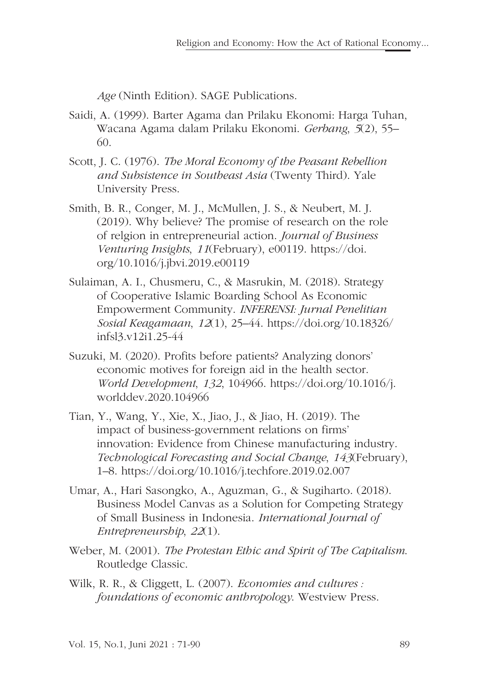*Age* (Ninth Edition). SAGE Publications.

- Saidi, A. (1999). Barter Agama dan Prilaku Ekonomi: Harga Tuhan, Wacana Agama dalam Prilaku Ekonomi. *Gerbang*, *5*(2), 55– 60.
- Scott, J. C. (1976). *The Moral Economy of the Peasant Rebellion and Subsistence in Southeast Asia* (Twenty Third). Yale University Press.
- Smith, B. R., Conger, M. J., McMullen, J. S., & Neubert, M. J. (2019). Why believe? The promise of research on the role of relgion in entrepreneurial action. *Journal of Business Venturing Insights*, *11*(February), e00119. https://doi. org/10.1016/j.jbvi.2019.e00119
- Sulaiman, A. I., Chusmeru, C., & Masrukin, M. (2018). Strategy of Cooperative Islamic Boarding School As Economic Empowerment Community. *INFERENSI: Jurnal Penelitian Sosial Keagamaan*, *12*(1), 25–44. https://doi.org/10.18326/ infsl3.v12i1.25-44
- Suzuki, M. (2020). Profits before patients? Analyzing donors' economic motives for foreign aid in the health sector. *World Development*, *132*, 104966. https://doi.org/10.1016/j. worlddev.2020.104966
- Tian, Y., Wang, Y., Xie, X., Jiao, J., & Jiao, H. (2019). The impact of business-government relations on firms' innovation: Evidence from Chinese manufacturing industry. *Technological Forecasting and Social Change*, *143*(February), 1–8. https://doi.org/10.1016/j.techfore.2019.02.007
- Umar, A., Hari Sasongko, A., Aguzman, G., & Sugiharto. (2018). Business Model Canvas as a Solution for Competing Strategy of Small Business in Indonesia. *International Journal of Entrepreneurship*, *22*(1).
- Weber, M. (2001). *The Protestan Ethic and Spirit of The Capitalism*. Routledge Classic.
- Wilk, R. R., & Cliggett, L. (2007). *Economies and cultures : foundations of economic anthropology*. Westview Press.